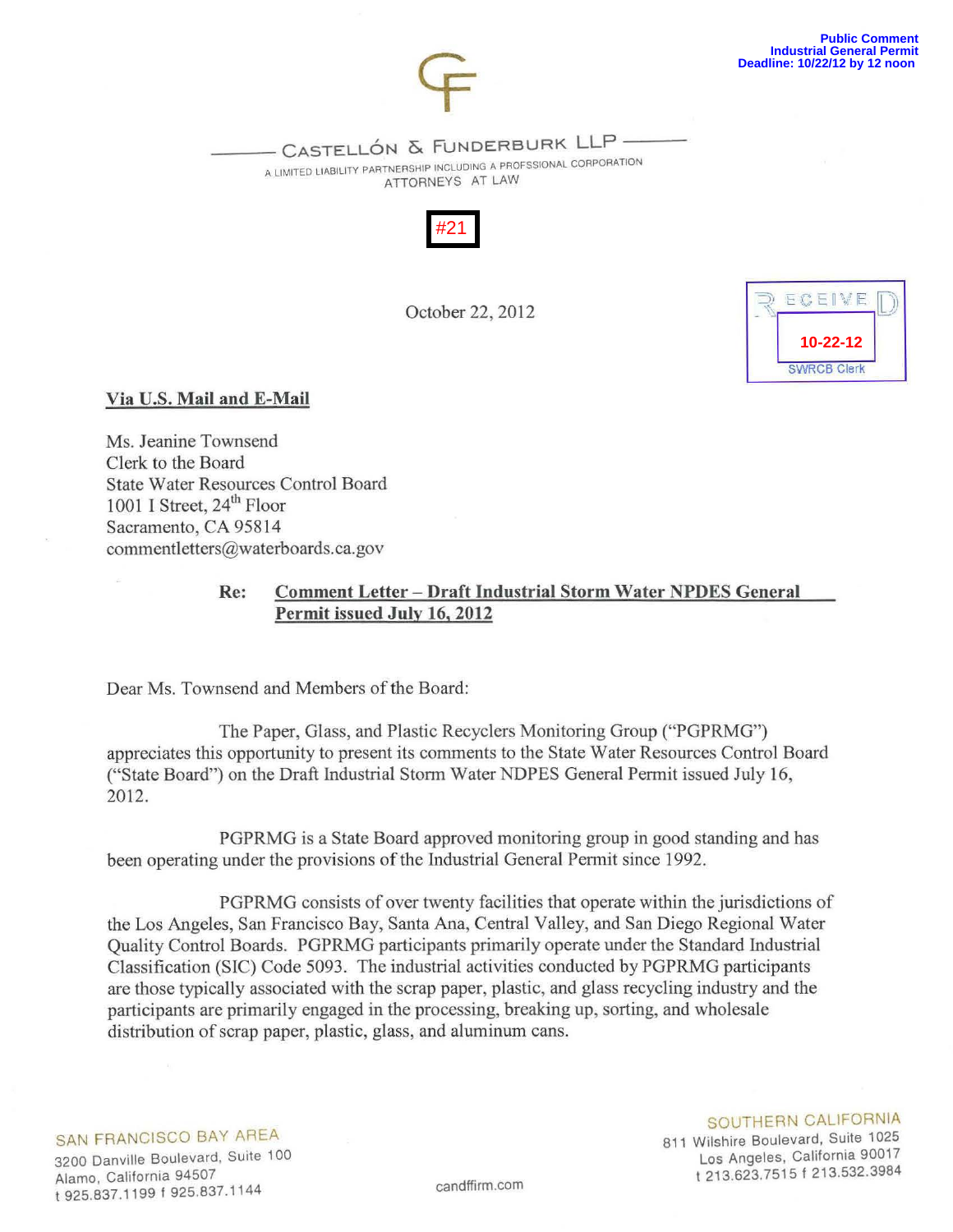

—- CASTELLÓN & FUNDERBURK LLP —-<br>a limited liability partnership including a profssional corporation

ATTORNEYS AT LAW



October 22, 2012



# Via U.S. Mail and E-Mail

Ms. Jeanine Townsend Clerk to the Board State Water Resources Control Board 1001 I Street,  $24<sup>th</sup>$  Floor Sacramento, CA 95814 commentletters@waterboards.ca.gov

# Re: Comment Letter- Draft Industrial Storm Water NPDES General Permit issued July 16, 2012

Dear Ms. Townsend and Members of the Board:

The Paper, Glass, and Plastic Recyclers Monitoring Group ("PGPRMG") appreciates this opportunity to present its comments to the State Water Resources Control Board ("State Board") on the Draft Industrial Storm Water NDPES General Permit issued July 16, 2012.

PGPRMG is a State Board approved monitoring group in good standing and has been operating under the provisions of the Industrial General Permit since 1992.

PGPRMG consists of over twenty facilities that operate within the jurisdictions of the Los Angeles, San Francisco Bay, Santa Ana, Central Valley, and San Diego Regional Water Quality Control Boards. PGPRMG participants primarily operate under the Standard Industrial Classification (SIC) Code 5093. The industrial activities conducted by PGPRMG participants are those typically associated with the scrap paper, plastic, and glass recycling industry and the participants are primarily engaged in the processing, breaking up, sorting, and wholesale distribution of scrap paper, plastic, glass, and aluminum cans.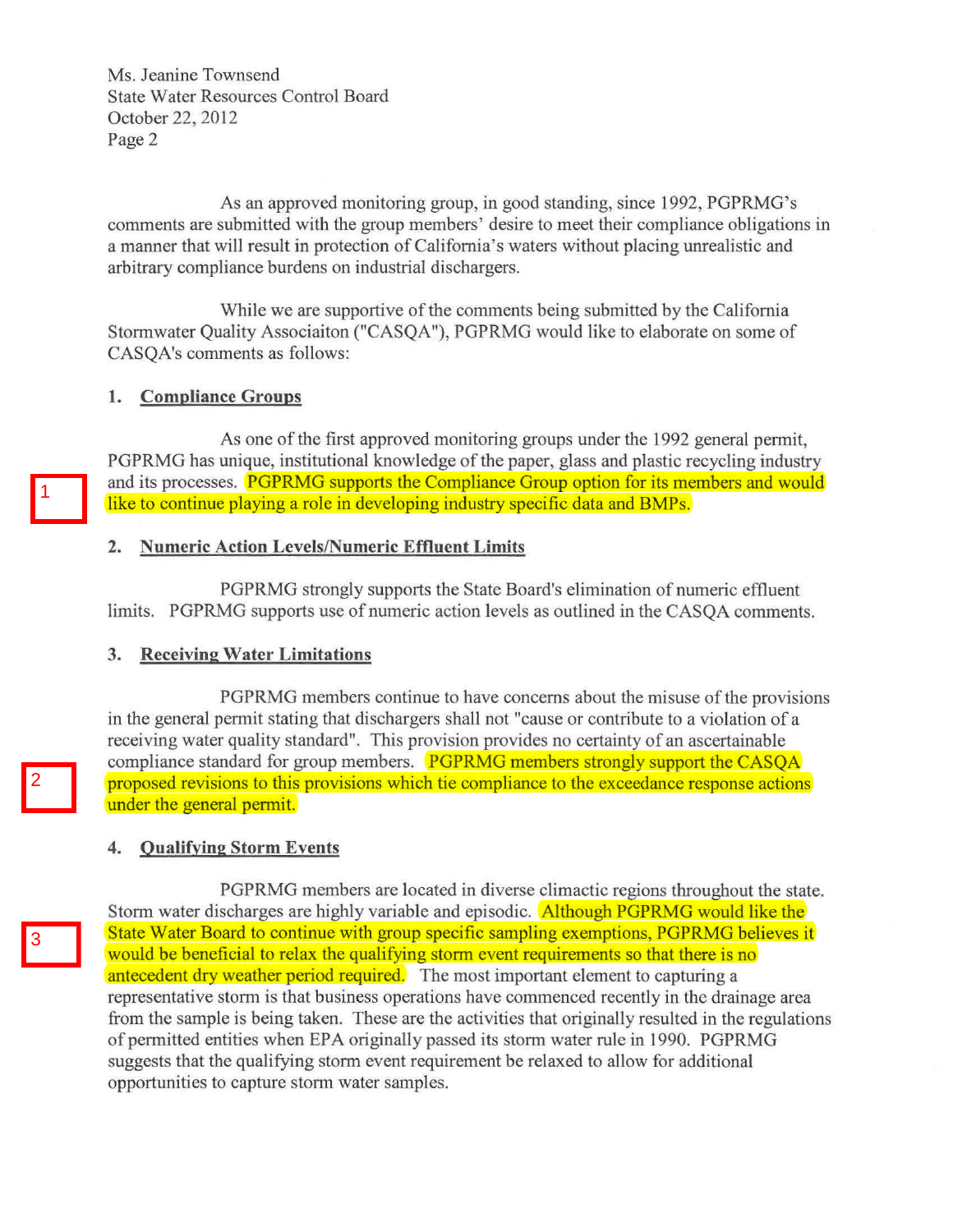Ms. Jeanine Townsend State Water Resources Control Board October 22, 2012 Page 2

As an approved monitoring group, in good standing, since 1992, PGPRMG's comments are submitted with the group members' desire to meet their compliance obligations in a manner that will result in protection of California's waters without placing unrealistic and arbitrary compliance burdens on industrial dischargers.

While we are supportive of the comments being submitted by the California Stormwater Quality Associaiton ("CASQA"), PGPRMG would like to elaborate on some of CASQA's comments as follows:

## **1. Compliance Groups**

As one of the first approved monitoring groups under the 1992 general permit, PGPRMG has unique, institutional knowledge of the paper, glass and plastic recycling industry and its processes. **PGPRMG** supports the Compliance Group option for its members and would like to continue playing a role in developing industry specific data and BMPs.

#### **2. Numeric Action Levels/Numeric Effluent Limits**

PGPRMG strongly supports the State Board's elimination of numeric effluent limits. PGPRMG supports use of numeric action levels as outlined in the CASQA comments.

## **3. Receiving Water Limitations**

PGPRMG members continue to have concerns about the misuse of the provisions in the general permit stating that dischargers shall not "cause or contribute to a violation of a receiving water quality standard". This provision provides no certainty of an ascertainable compliance standard for group members. **PGPRMG members strongly support the CASQA** proposed revisions to this provisions which tie compliance to the exceedance response actions under the general permit.

## **4. Qualifying Storm Events**

PGPRMG members are located in diverse climactic regions throughout the state. Storm water discharges are highly variable and episodic. **Although PGPRMG would like the** State Water Board to continue with group specific sampling exemptions, PGPRMG believes it would be beneficial to relax the qualifying storm event requirements so that there is no antecedent dry weather period required. The most important element to capturing a representative storm is that business operations have commenced recently in the drainage area from the sample is being taken. These are the activities that originally resulted in the regulations of permitted entities when EPA originally passed its storm water rule in 1990. PGPRMG suggests that the qualifying storm event requirement be relaxed to allow for additional opportunities to capture stonn water samples.

3

1